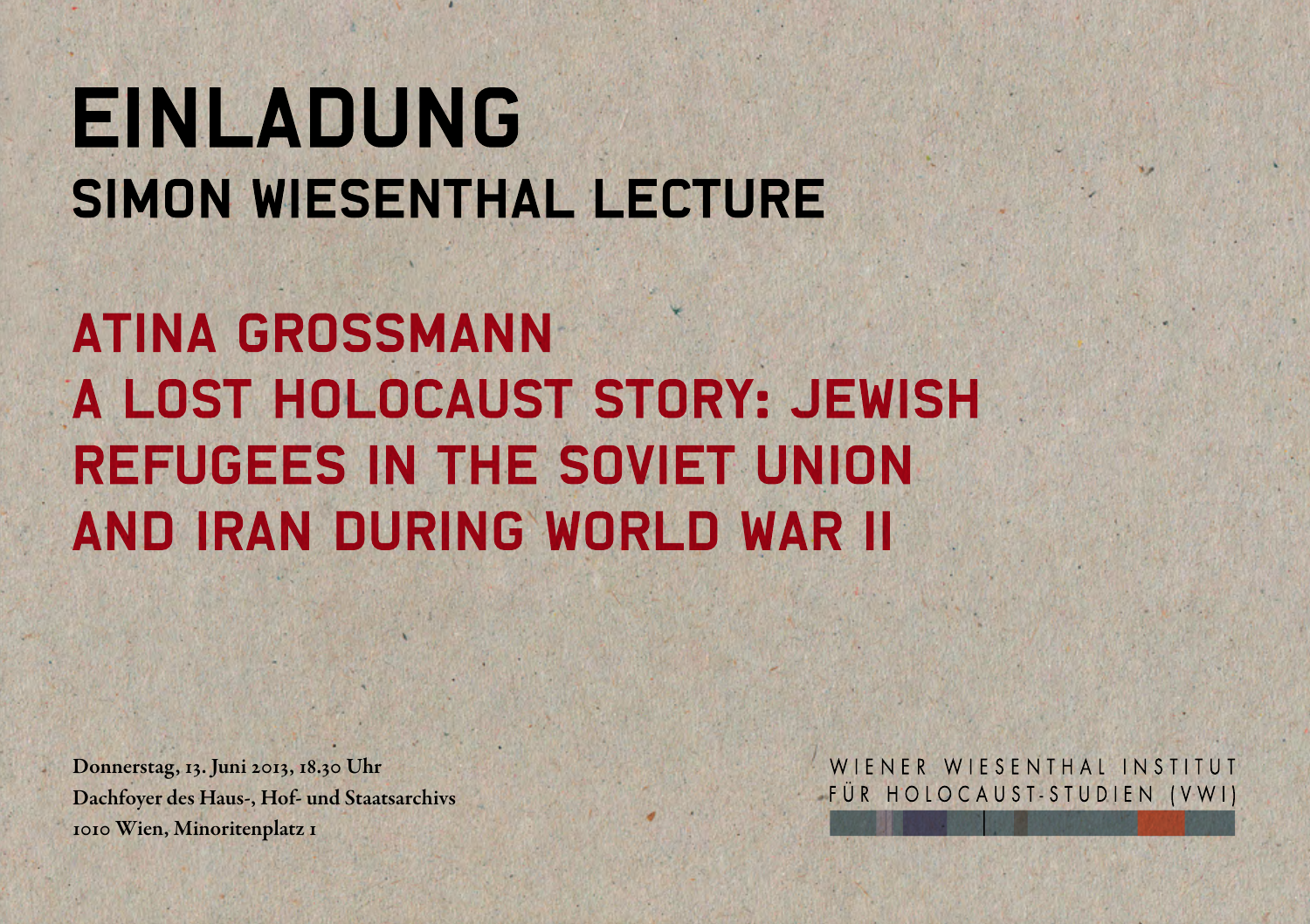## **EINLADUNG SIMON WIESENTHAL LECTURE**

**ATINA GROSSMANN** A LOST HOLOCAUST STORY: JEWISH **REFUGEES IN THE SOVIET UNION** AND IRAN DURING WORLD WAR II

Donnerstag, 13. Juni 2013, 18.30 Uhr Dachfoyer des Haus-, Hof- und Staatsarchivs 1010 Wien, Minoritenplatz 1

WIENER WIESENTHAL INSTITUT FÜR HOLOCAUST-STUDIEN (VWI)